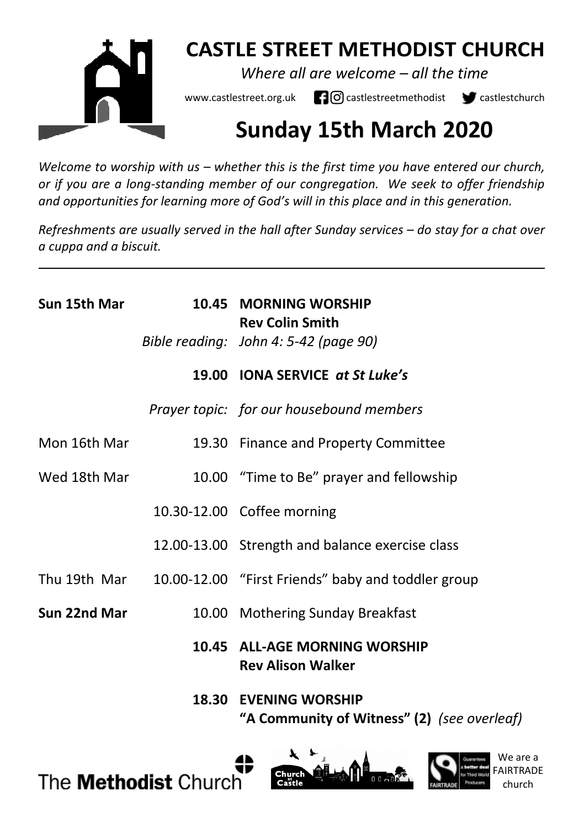

## **CASTLE STREET METHODIST CHURCH**

*Where all are welcome – all the time* 

www.castlestreet.org.uk  $\Box$   $\Box$  castlestreetmethodist  $\Box$  castlestchurch

# **Sunday 15th March 2020**

*Welcome to worship with us – whether this is the first time you have entered our church, or if you are a long-standing member of our congregation. We seek to offer friendship and opportunities for learning more of God's will in this place and in this generation.* 

*Refreshments are usually served in the hall after Sunday services – do stay for a chat over a cuppa and a biscuit.*

| Sun 15th Mar | 10.45 MORNING WORSHIP<br><b>Rev Colin Smith</b>                             |
|--------------|-----------------------------------------------------------------------------|
|              | Bible reading: John 4: 5-42 (page 90)                                       |
|              | 19.00 IONA SERVICE at St Luke's                                             |
|              | Prayer topic: for our housebound members                                    |
| Mon 16th Mar | 19.30 Finance and Property Committee                                        |
| Wed 18th Mar | 10.00 "Time to Be" prayer and fellowship                                    |
|              | 10.30-12.00 Coffee morning                                                  |
|              | 12.00-13.00 Strength and balance exercise class                             |
| Thu 19th Mar | 10.00-12.00 "First Friends" baby and toddler group                          |
| Sun 22nd Mar | 10.00 Mothering Sunday Breakfast                                            |
|              | 10.45 ALL-AGE MORNING WORSHIP<br><b>Rev Alison Walker</b>                   |
|              | <b>18.30 EVENING WORSHIP</b><br>"A Community of Witness" (2) (see overleaf) |



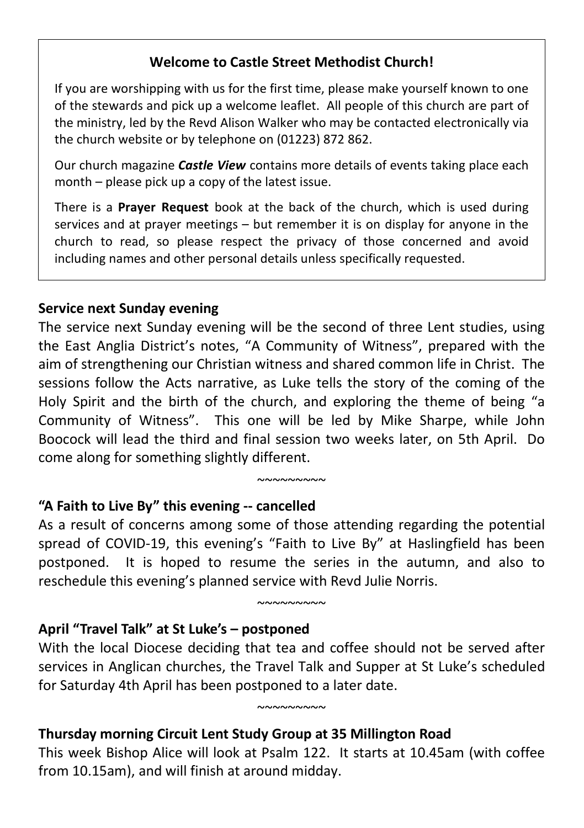#### **Welcome to Castle Street Methodist Church!**

If you are worshipping with us for the first time, please make yourself known to one of the stewards and pick up a welcome leaflet. All people of this church are part of the ministry, led by the Revd Alison Walker who may be contacted electronically via the church website or by telephone on (01223) 872 862.

Our church magazine *Castle View* contains more details of events taking place each month – please pick up a copy of the latest issue.

There is a **Prayer Request** book at the back of the church, which is used during services and at prayer meetings – but remember it is on display for anyone in the church to read, so please respect the privacy of those concerned and avoid including names and other personal details unless specifically requested.

#### **Service next Sunday evening**

The service next Sunday evening will be the second of three Lent studies, using the East Anglia District's notes, "A Community of Witness", prepared with the aim of strengthening our Christian witness and shared common life in Christ. The sessions follow the Acts narrative, as Luke tells the story of the coming of the Holy Spirit and the birth of the church, and exploring the theme of being "a Community of Witness". This one will be led by Mike Sharpe, while John Boocock will lead the third and final session two weeks later, on 5th April. Do come along for something slightly different.

#### **"A Faith to Live By" this evening -- cancelled**

As a result of concerns among some of those attending regarding the potential spread of COVID-19, this evening's "Faith to Live By" at Haslingfield has been postponed. It is hoped to resume the series in the autumn, and also to reschedule this evening's planned service with Revd Julie Norris.

 $~\sim$ ~~~~~~~

 $~\sim$ ~~~~~~~

## **April "Travel Talk" at St Luke's – postponed**

With the local Diocese deciding that tea and coffee should not be served after services in Anglican churches, the Travel Talk and Supper at St Luke's scheduled for Saturday 4th April has been postponed to a later date.

 $~\sim$  $\sim$  $\sim$  $\sim$  $\sim$  $\sim$  $\sim$ 

## **Thursday morning Circuit Lent Study Group at 35 Millington Road**

This week Bishop Alice will look at Psalm 122. It starts at 10.45am (with coffee from 10.15am), and will finish at around midday.